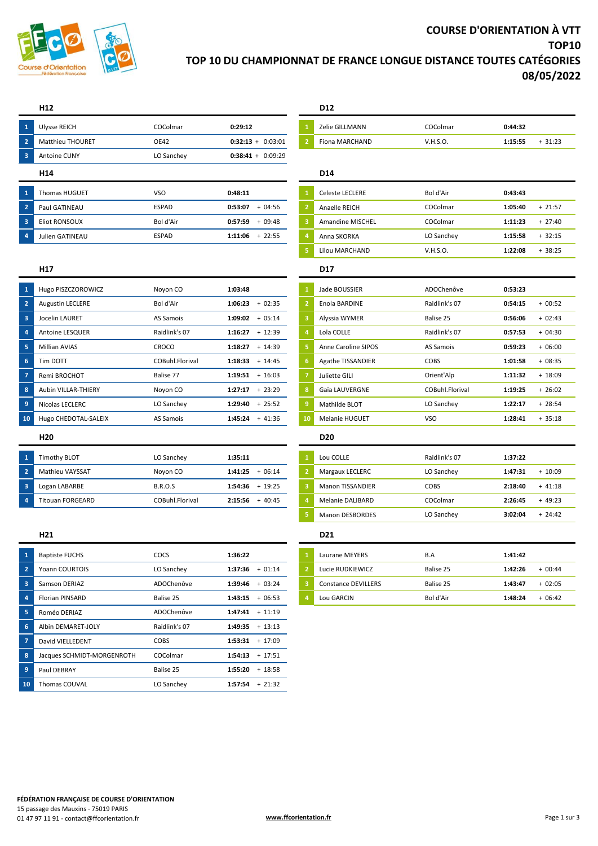

# **COURSE D'ORIENTATION À VTT TOP10 TOP 10 DU CHAMPIONNAT DE FRANCE LONGUE DISTANCE TOUTES CATÉGORIES 08/05/2022**

## **H12 D12**

| $\blacksquare$          | <b>Ulysse REICH</b>     | COColmar     | 0:29:12             | <b>Zelie GILLMANN</b>   | COColmar   | 0:44:32 |          |
|-------------------------|-------------------------|--------------|---------------------|-------------------------|------------|---------|----------|
| $\overline{2}$          | <b>Matthieu THOURET</b> | OE42         | $0:32:13 + 0:03:01$ | Fiona MARCHAND          | V.H.S.O.   | 1:15:55 | $+31:23$ |
| $\overline{\mathbf{3}}$ | Antoine CUNY            | LO Sanchey   | $0:38:41 + 0:09:29$ |                         |            |         |          |
|                         | H <sub>14</sub>         |              |                     | D <sub>14</sub>         |            |         |          |
|                         |                         |              |                     |                         |            |         |          |
| $\overline{1}$          | <b>Thomas HUGUET</b>    | VSO          | 0:48:11             | <b>Celeste LECLERE</b>  | Bol d'Air  | 0:43:43 |          |
| $\overline{2}$          | Paul GATINEAU           | ESPAD        | $+04:56$<br>0:53:07 | Anaelle REICH           | COColmar   | 1:05:40 | $+21:57$ |
| $\overline{\mathbf{3}}$ | <b>Eliot RONSOUX</b>    | Bol d'Air    | 0:57:59<br>$+09:48$ | <b>Amandine MISCHEL</b> | COColmar   | 1:11:23 | $+27:40$ |
| $\overline{4}$          | Julien GATINEAU         | <b>ESPAD</b> | 1:11:06<br>$+22:55$ | Anna SKORKA             | LO Sanchey | 1:15:58 | $+32:15$ |

# Amandine MISCHEL **8** COColmar **1:11:23** + 27:40 Lilou MARCHAND V.H.S.O. **1:22:08** + 38:25

## **H17 D17**

| $\overline{1}$ | Jade BOUSSIER            | ADOChenôve      | 0:53:23 |          |
|----------------|--------------------------|-----------------|---------|----------|
| $\overline{2}$ | Enola BARDINE            | Raidlink's 07   | 0:54:15 | $+00:52$ |
| з              | Alyssia WYMER            | Balise 25       | 0:56:06 | $+02:43$ |
| 4              | Lola COLLE               | Raidlink's 07   | 0:57:53 | $+04:30$ |
| 5              | Anne Caroline SIPOS      | AS Samois       | 0:59:23 | $+06:00$ |
| 6              | <b>Agathe TISSANDIER</b> | <b>COBS</b>     | 1:01:58 | $+08:35$ |
| $\overline{7}$ | Juliette GILI            | Orient'Alp      | 1:11:32 | $+18:09$ |
| 8              | Gaïa LAUVERGNE           | COBuhl.Florival | 1:19:25 | $+26:02$ |
| 9              | Mathilde BLOT            | LO Sanchey      | 1:22:17 | $+28:54$ |
| LΟ             | <b>Melanie HUGUET</b>    | <b>VSO</b>      | 1:28:41 | $+35:18$ |

|   | Lou COLLE               | Raidlink's 07 | 1:37:22             |  |  |
|---|-------------------------|---------------|---------------------|--|--|
|   | Margaux LECLERC         | LO Sanchey    | $+10:09$<br>1:47:31 |  |  |
| з | <b>Manon TISSANDIER</b> | COBS          | 2:18:40<br>$+41:18$ |  |  |
| 4 | Melanie DALIBARD        | COColmar      | 2:26:45<br>$+49:23$ |  |  |
| 5 | <b>Manon DESBORDES</b>  | LO Sanchey    | 3:02:04<br>$+24:42$ |  |  |

| Laurane MEYERS             | B.A       | 1:41:42 |           |
|----------------------------|-----------|---------|-----------|
| Lucie RUDKIEWICZ           | Balise 25 | 1:42:26 | $+ 00.44$ |
| <b>Constance DEVILLERS</b> | Balise 25 | 1:43:47 | $+02.05$  |
| Lou GARCIN                 | Bol d'Air | 1:48:24 | $+ 06.42$ |

|                | Hugo PISZCZOROWICZ      | Noyon CO        | 1:03:48              | $\mathbf{1}$   | Jade BOUSSIER              | ADOChenôve      | 0:53:23 |           |
|----------------|-------------------------|-----------------|----------------------|----------------|----------------------------|-----------------|---------|-----------|
| $\overline{2}$ | <b>Augustin LECLERE</b> | Bol d'Air       | 1:06:23<br>$+02:35$  | $\overline{2}$ | Enola BARDINE              | Raidlink's 07   | 0:54:15 | $+00:52$  |
| 3              | Jocelin LAURET          | AS Samois       | $+05:14$<br>1:09:02  | 3              | Alyssia WYMER              | Balise 25       | 0:56:06 | $+02:43$  |
| 4              | Antoine LESQUER         | Raidlink's 07   | 1:16:27<br>$+12:39$  | $\overline{4}$ | Lola COLLE                 | Raidlink's 07   | 0:57:53 | $+04:30$  |
| 5.             | <b>Millian AVIAS</b>    | CROCO           | 1:18:27<br>$+14:39$  | 5              | <b>Anne Caroline SIPOS</b> | AS Samois       | 0:59:23 | $+06:00$  |
| 6              | Tim DOTT                | COBuhl.Florival | 1:18:33<br>$+ 14:45$ | 6              | <b>Agathe TISSANDIER</b>   | <b>COBS</b>     | 1:01:58 | $+08:35$  |
|                | Remi BROCHOT            | Balise 77       | 1:19:51<br>$+16:03$  | -7             | Juliette GILI              | Orient'Alp      | 1:11:32 | $+ 18:09$ |
| 8              | Aubin VILLAR-THIERY     | Novon CO        | $+23:29$<br>1:27:17  | 8              | Gaïa LAUVERGNE             | COBuhl.Florival | 1:19:25 | $+26:02$  |
| 9              | Nicolas LECLERC         | LO Sanchey      | $+25:52$<br>1:29:40  | $\overline{9}$ | Mathilde BLOT              | LO Sanchey      | 1:22:17 | $+28:54$  |
| 10             | Hugo CHEDOTAL-SALEIX    | AS Samois       | $1:45:24 + 41:36$    | 10             | <b>Melanie HUGUET</b>      | <b>VSO</b>      | 1:28:41 | $+35:18$  |
|                | H <sub>20</sub>         |                 |                      |                | <b>D20</b>                 |                 |         |           |

| Timothv BLOT            | LO Sanchev      | 1:35:11             | Lou COLLE               | Raidlink's 07 | 1:37:22 |         |
|-------------------------|-----------------|---------------------|-------------------------|---------------|---------|---------|
| Mathieu VAYSSAT         | Noyon CO        | $+06:14$<br>1:41:25 | Margaux LECLERC         | LO Sanchey    | 1:47:31 | 10:09   |
| Logan LABARBE           | <b>B.R.O.S</b>  | $+19:25$<br>1:54:36 | <b>Manon TISSANDIER</b> | <b>COBS</b>   | 2:18:40 | + 41:18 |
| <b>Titouan FORGEARD</b> | COBuhl Florival | 2:15:56<br>$+40:45$ | Melanie DALIBARD        | COColmar      | 2:26:45 | 49:23   |
|                         |                 |                     |                         |               |         |         |

|                | H21                        |               |                   |          |    | D <sub>21</sub>            |           |         |  |
|----------------|----------------------------|---------------|-------------------|----------|----|----------------------------|-----------|---------|--|
|                | <b>Baptiste FUCHS</b>      | COCS          | 1:36:22           |          |    | Laurane MEYERS             | B.A       | 1:41:42 |  |
| $\overline{2}$ | Yoann COURTOIS             | LO Sanchey    | $1:37:36 + 01:14$ |          |    | Lucie RUDKIEWICZ           | Balise 25 | 1:42:26 |  |
| 3              | Samson DERIAZ              | ADOChenôve    | 1:39:46           | $+03:24$ | -3 | <b>Constance DEVILLERS</b> | Balise 25 | 1:43:47 |  |
| $\overline{a}$ | <b>Florian PINSARD</b>     | Balise 25     | 1:43:15           | $+06:53$ |    | Lou GARCIN                 | Bol d'Air | 1:48:24 |  |
| 5              | Roméo DERIAZ               | ADOChenôve    | $1:47:41 + 11:19$ |          |    |                            |           |         |  |
| -6             | Albin DEMARET-JOLY         | Raidlink's 07 | $1:49:35 + 13:13$ |          |    |                            |           |         |  |
|                | David VIELLEDENT           | <b>COBS</b>   | $1:53:31 + 17:09$ |          |    |                            |           |         |  |
| 8              | Jacques SCHMIDT-MORGENROTH | COColmar      | 1:54:13           | $+17:51$ |    |                            |           |         |  |
| 9              | Paul DEBRAY                | Balise 25     | 1:55:20           | $+18:58$ |    |                            |           |         |  |
| 10             | Thomas COUVAL              | LO Sanchey    | $1:57:54$ + 21:32 |          |    |                            |           |         |  |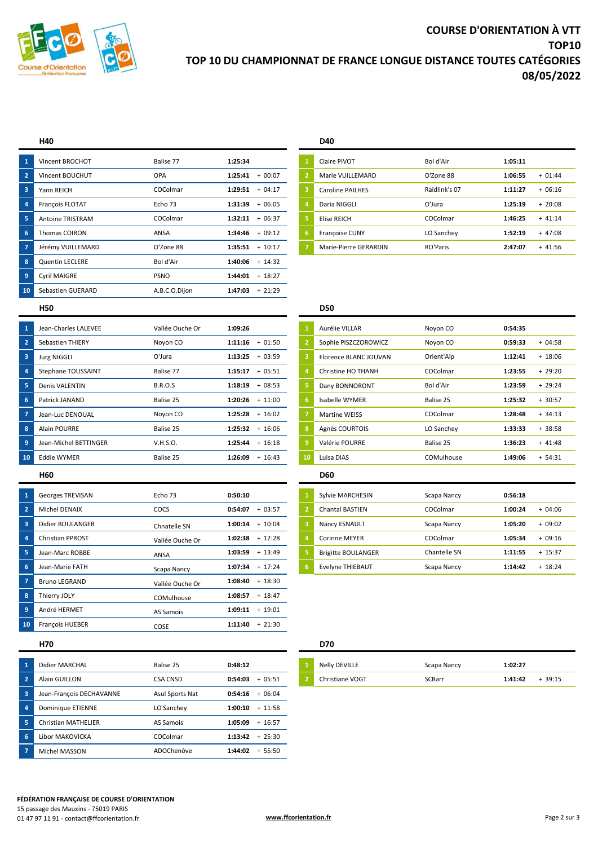

# **COURSE D'ORIENTATION À VTT TOP10 TOP 10 DU CHAMPIONNAT DE FRANCE LONGUE DISTANCE TOUTES CATÉGORIES 08/05/2022**

|                         | H40                     |               |                     |    | D40                     |               |         |          |
|-------------------------|-------------------------|---------------|---------------------|----|-------------------------|---------------|---------|----------|
| 1                       | Vincent BROCHOT         | Balise 77     | 1:25:34             |    | Claire PIVOT            | Bol d'Air     | 1:05:11 |          |
| $\overline{2}$          | Vincent BOUCHUT         | <b>OPA</b>    | 1:25:41<br>$+00:07$ |    | Marie VUILLEMARD        | O'Zone 88     | 1:06:55 | $+01:44$ |
| $\overline{\mathbf{3}}$ | Yann REICH              | COColmar      | 1:29:51<br>$+04:17$ | -3 | <b>Caroline PAILHES</b> | Raidlink's 07 | 1:11:27 | $+06:16$ |
| 4                       | François FLOTAT         | Echo 73       | 1:31:39<br>$+06:05$ | -4 | Daria NIGGLI            | O'Jura        | 1:25:19 | $+20:08$ |
| 5                       | <b>Antoine TRISTRAM</b> | COColmar      | 1:32:11<br>$+06:37$ | -5 | Elise REICH             | COColmar      | 1:46:25 | $+41:14$ |
| 6                       | <b>Thomas COIRON</b>    | ANSA          | $+09:12$<br>1:34:46 | 6  | Françoise CUNY          | LO Sanchey    | 1:52:19 | $+47:08$ |
| 7                       | Jérémy VUILLEMARD       | O'Zone 88     | $1:35:51 + 10:17$   |    | Marie-Pierre GERARDIN   | RO'Paris      | 2:47:07 | $+41:56$ |
| 8                       | <b>Quentin LECLERE</b>  | Bol d'Air     | $1:40:06 + 14:32$   |    |                         |               |         |          |
| 9                       | <b>Cyril MAIGRE</b>     | <b>PSNO</b>   | $+18:27$<br>1:44:01 |    |                         |               |         |          |
| 10                      | Sebastien GUERARD       | A.B.C.O.Dijon | $+21:29$<br>1:47:03 |    |                         |               |         |          |
|                         |                         |               |                     |    |                         |               |         |          |

| $\mathbf{1}$   | Claire PIVOT          | Bol d'Air     | 1:05:11 |          |
|----------------|-----------------------|---------------|---------|----------|
| $\overline{2}$ | Marie VUILLEMARD      | O'Zone 88     | 1:06:55 | $+01:44$ |
| 3              | Caroline PAILHES      | Raidlink's 07 | 1:11:27 | $+06:16$ |
| $\overline{a}$ | Daria NIGGLI          | O'Jura        | 1:25:19 | $+20:08$ |
| 5              | Elise REICH           | COColmar      | 1:46:25 | $+41:14$ |
| 6              | <b>Françoise CUNY</b> | LO Sanchey    | 1:52:19 | $+47:08$ |
| $\overline{7}$ | Marie-Pierre GERARDIN | RO'Paris      | 2:47:07 | $+41:56$ |

## **H50 D50**

| 1              | Jean-Charles LALEVEE  | Vallée Ouche Or | 1:09:26             |    | Aurélie VILLAR        | Novon CO   | 0:54:35 |           |
|----------------|-----------------------|-----------------|---------------------|----|-----------------------|------------|---------|-----------|
| $\overline{2}$ | Sebastien THIERY      | Noyon CO        | 1:11:16<br>$+01:50$ |    | Sophie PISZCZOROWICZ  | Novon CO   | 0:59:33 | $+04:58$  |
| -3             | <b>Jurg NIGGLI</b>    | O'Jura          | 1:13:25<br>$+03:59$ | -3 | Florence BLANC JOUVAN | Orient'Alp | 1:12:41 | $+ 18:06$ |
| 4              | Stephane TOUSSAINT    | Balise 77       | $+05:51$<br>1:15:17 |    | Christine HO THANH    | COColmar   | 1:23:55 | $+29:20$  |
| -5             | <b>Denis VALENTIN</b> | <b>B.R.O.S</b>  | 1:18:19<br>$+08:53$ | 5  | Dany BONNORONT        | Bol d'Air  | 1:23:59 | $+29:24$  |
| 6              | Patrick JANAND        | Balise 25       | 1:20:26<br>$+11:00$ | -6 | Isabelle WYMER        | Balise 25  | 1:25:32 | $+30:57$  |
| -7             | Jean-Luc DENOUAL      | Noyon CO        | $+16:02$<br>1:25:28 |    | <b>Martine WEISS</b>  | COColmar   | 1:28:48 | $+34:13$  |
| 8              | <b>Alain POURRE</b>   | Balise 25       | $+16:06$<br>1:25:32 | 8  | Agnès COURTOIS        | LO Sanchey | 1:33:33 | $+38:58$  |
| 9              | Jean-Michel BETTINGER | V.H.S.O.        | 1:25:44<br>$+16:18$ | -9 | Valérie POURRE        | Balise 25  | 1:36:23 | $+41:48$  |
| 10             | <b>Eddie WYMER</b>    | Balise 25       | 1:26:09<br>$+16:43$ | 10 | Luisa DIAS            | COMulhouse | 1:49:06 | $+ 54:31$ |
|                |                       |                 |                     |    |                       |            |         |           |

| $\mathbf{1}$   | <b>Georges TREVISAN</b> | Echo 73         | 0:50:10 |                | Sylvie MARCHESIN          | Scapa Nancy  | 0:56:18 |           |
|----------------|-------------------------|-----------------|---------|----------------|---------------------------|--------------|---------|-----------|
| $\sqrt{2}$     | <b>Michel DENAIX</b>    | <b>COCS</b>     | 0:54:07 | $+03:57$       | <b>Chantal BASTIEN</b>    | COColmar     | 1:00:24 | $+04:06$  |
| 3              | Didier BOULANGER        | Chnatelle SN    | 1:00:14 | $+10:04$<br>-3 | Nancy ESNAULT             | Scapa Nancy  | 1:05:20 | $+09:02$  |
| $\overline{4}$ | <b>Christian PPROST</b> | Vallée Ouche Or | 1:02:38 | $+12:28$       | <b>Corinne MEYER</b>      | COColmar     | 1:05:34 | $+09:16$  |
| 5              | Jean-Marc ROBBE         | ANSA            | 1:03:59 | $+ 13:49$      | <b>Brigitte BOULANGER</b> | Chantelle SN | 1:11:55 | $+ 15:37$ |
| 6              | Jean-Marie FATH         | Scapa Nancy     | 1:07:34 | $+17:24$<br>-6 | Evelyne THIEBAUT          | Scapa Nancy  | 1:14:42 | $+ 18:24$ |
| -7             | <b>Bruno LEGRAND</b>    | Vallée Ouche Or | 1:08:40 | $+18:30$       |                           |              |         |           |
| 8              | Thierry JOLY            | COMulhouse      | 1:08:57 | $+ 18:47$      |                           |              |         |           |
| 9              | André HERMET            | AS Samois       | 1:09:11 | $+19:01$       |                           |              |         |           |
| 10             | <b>François HUEBER</b>  | <b>COSE</b>     | 1:11:40 | $+21:30$       |                           |              |         |           |

| Sebastien THIERY        | Noyon CO        | 1:11:16 | $+01:50$          | $\overline{2}$ | Sophie PISZCZOROWICZ         | Noyon CO     | 0:59:33 | $+04:58$  |
|-------------------------|-----------------|---------|-------------------|----------------|------------------------------|--------------|---------|-----------|
| <b>Jurg NIGGLI</b>      | O'Jura          | 1:13:25 | $+03:59$          | -3             | <b>Florence BLANC JOUVAN</b> | Orient'Alp   | 1:12:41 | $+ 18:06$ |
| Stephane TOUSSAINT      | Balise 77       | 1:15:17 | $+05:51$          | $\overline{4}$ | Christine HO THANH           | COColmar     | 1:23:55 | $+29:20$  |
| Denis VALENTIN          | <b>B.R.O.S</b>  | 1:18:19 | $+08:53$          | 5              | Dany BONNORONT               | Bol d'Air    | 1:23:59 | $+29:24$  |
| Patrick JANAND          | Balise 25       |         | $1:20:26 + 11:00$ | 6              | Isabelle WYMER               | Balise 25    | 1:25:32 | $+30:57$  |
| Jean-Luc DENOUAL        | Novon CO        | 1:25:28 | $+16:02$          | -7             | <b>Martine WEISS</b>         | COColmar     | 1:28:48 | $+34:13$  |
| Alain POURRE            | Balise 25       | 1:25:32 | $+16:06$          | 8              | Agnès COURTOIS               | LO Sanchey   | 1:33:33 | $+38:58$  |
| Jean-Michel BETTINGER   | V.H.S.O.        |         | $1:25:44 + 16:18$ | -9             | Valérie POURRE               | Balise 25    | 1:36:23 | $+41:48$  |
| Eddie WYMER             | Balise 25       | 1:26:09 | $+16:43$          | 10             | Luisa DIAS                   | COMulhouse   | 1:49:06 | $+ 54:31$ |
| H60                     |                 |         |                   |                | <b>D60</b>                   |              |         |           |
| Georges TREVISAN        | Echo 73         | 0:50:10 |                   |                | Sylvie MARCHESIN             | Scapa Nancy  | 0:56:18 |           |
| Michel DENAIX           | COCS            | 0:54:07 | $+03:57$          | $\overline{2}$ | <b>Chantal BASTIEN</b>       | COColmar     | 1:00:24 | $+04:06$  |
| Didier BOULANGER        | Chnatelle SN    | 1:00:14 | $+10:04$          | -3             | Nancy ESNAULT                | Scapa Nancy  | 1:05:20 | $+09:02$  |
| <b>Christian PPROST</b> | Vallée Ouche Or | 1:02:38 | $+ 12:28$         | $\overline{4}$ | <b>Corinne MEYER</b>         | COColmar     | 1:05:34 | $+09:16$  |
| Jean-Marc ROBBE         | ANSA            | 1:03:59 | $+ 13:49$         | 5              | <b>Brigitte BOULANGER</b>    | Chantelle SN | 1:11:55 | $+ 15:37$ |
|                         |                 |         |                   |                |                              |              |         |           |

### **H70 D70**

| Nelly DEVILLE   | Scapa Nancy | 1:02:27 |          |
|-----------------|-------------|---------|----------|
| Christiane VOGT | SCBarr      | 1:41:42 | $+39:15$ |

| ۰.<br>- |  |
|---------|--|
|---------|--|

| $\mathbf{1}$            | Didier MARCHAL           | Balise 25       | 0:48:12           |          | Nelly DEVILLE   | Scapa Nancy |  |
|-------------------------|--------------------------|-----------------|-------------------|----------|-----------------|-------------|--|
| $\sqrt{2}$              | Alain GUILLON            | <b>CSA CNSD</b> | 0:54:03           | $+05:51$ | Christiane VOGT | SCBarr      |  |
| $\overline{\mathbf{3}}$ | Jean-François DECHAVANNE | Asul Sports Nat | 0:54:16           | $+06:04$ |                 |             |  |
| $\overline{4}$          | Dominique ETIENNE        | LO Sanchey      | 1:00:10           | $+11:58$ |                 |             |  |
| 5                       | Christian MATHELIER      | AS Samois       | 1:05:09           | $+16:57$ |                 |             |  |
| 6                       | Libor MAKOVICKA          | COColmar        | $1:13:42 + 25:30$ |          |                 |             |  |
| $\overline{7}$          | Michel MASSON            | ADOChenôve      | $1:44:02 + 55:50$ |          |                 |             |  |